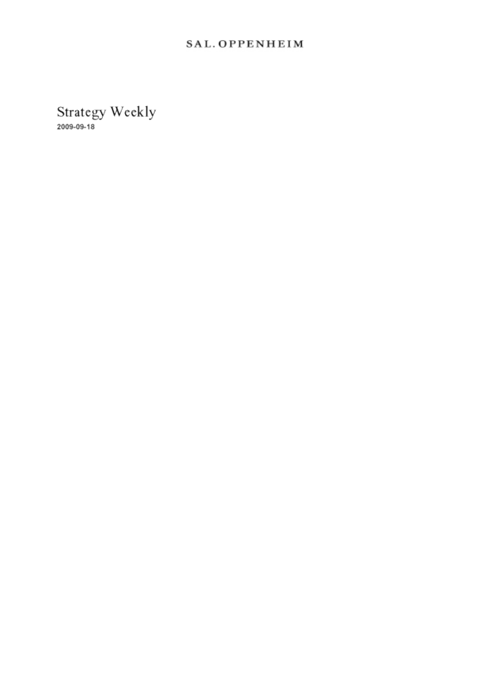## SAL. OPPENHEIM

Strategy Weekly<br>2009-09-18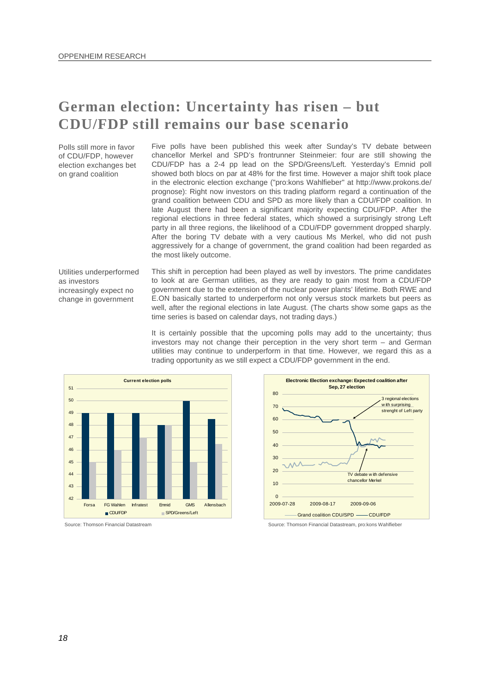## **German election: Uncertainty has risen – but CDU/FDP still remains our base scenario**

Polls still more in favor of CDU/FDP, however election exchanges bet on grand coalition

Five polls have been published this week after Sunday's TV debate between chancellor Merkel and SPD's frontrunner Steinmeier: four are still showing the CDU/FDP has a 2-4 pp lead on the SPD/Greens/Left. Yesterday's Emnid poll showed both blocs on par at 48% for the first time. However a major shift took place in the electronic election exchange ("pro:kons Wahlfieber" at [http://www.prokons.de/](http://www.prokons.de/prognose)  [prognose\)](http://www.prokons.de/prognose): Right now investors on this trading platform regard a continuation of the grand coalition between CDU and SPD as more likely than a CDU/FDP coalition. In late August there had been a significant majority expecting CDU/FDP. After the regional elections in three federal states, which showed a surprisingly strong Left party in all three regions, the likelihood of a CDU/FDP government dropped sharply. After the boring TV debate with a very cautious Ms Merkel, who did not push aggressively for a change of government, the grand coalition had been regarded as the most likely outcome.

Utilities underperformed as investors increasingly expect no change in government

This shift in perception had been played as well by investors. The prime candidates to look at are German utilities, as they are ready to gain most from a CDU/FDP government due to the extension of the nuclear power plants' lifetime. Both RWE and E.ON basically started to underperform not only versus stock markets but peers as well, after the regional elections in late August. (The charts show some gaps as the time series is based on calendar days, not trading days.)

It is certainly possible that the upcoming polls may add to the uncertainty; thus investors may not change their perception in the very short term – and German utilities may continue to underperform in that time. However, we regard this as a trading opportunity as we still expect a CDU/FDP government in the end.







Source: Thomson Financial Datastream Source: Thomson Financial Datastream, pro:kons Wahlfieber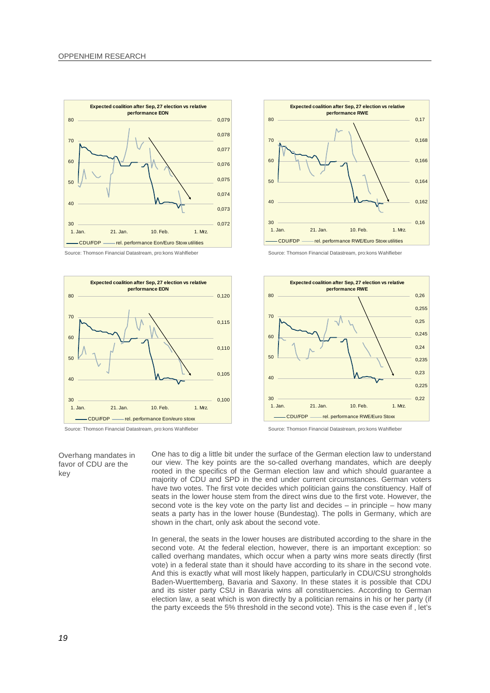

Source: Thomson Financial Datastream, pro:kons Wahlfieber Source: Thomson Financial Datastream, pro:kons Wahlfieber



Source: Thomson Financial Datastream, pro:kons Wahlfieber Source: Thomson Financial Datastream, pro:kons Wahlfieber

Overhang mandates in favor of CDU are the





One has to dig a little bit under the surface of the German election law to understand our view. The key points are the so-called overhang mandates, which are deeply rooted in the specifics of the German election law and which should guarantee a majority of CDU and SPD in the end under current circumstances. German voters have two votes. The first vote decides which politician gains the constituency. Half of seats in the lower house stem from the direct wins due to the first vote. However, the second vote is the key vote on the party list and decides  $-$  in principle  $-$  how many seats a party has in the lower house (Bundestag). The polls in Germany, which are shown in the chart, only ask about the second vote.

In general, the seats in the lower houses are distributed according to the share in the second vote. At the federal election, however, there is an important exception: so called overhang mandates, which occur when a party wins more seats directly (first vote) in a federal state than it should have according to its share in the second vote. And this is exactly what will most likely happen, particularly in CDU/CSU strongholds Baden-Wuerttemberg, Bavaria and Saxony. In these states it is possible that CDU and its sister party CSU in Bavaria wins all constituencies. According to German election law, a seat which is won directly by a politician remains in his or her party (if the party exceeds the 5% threshold in the second vote). This is the case even if , let's

key